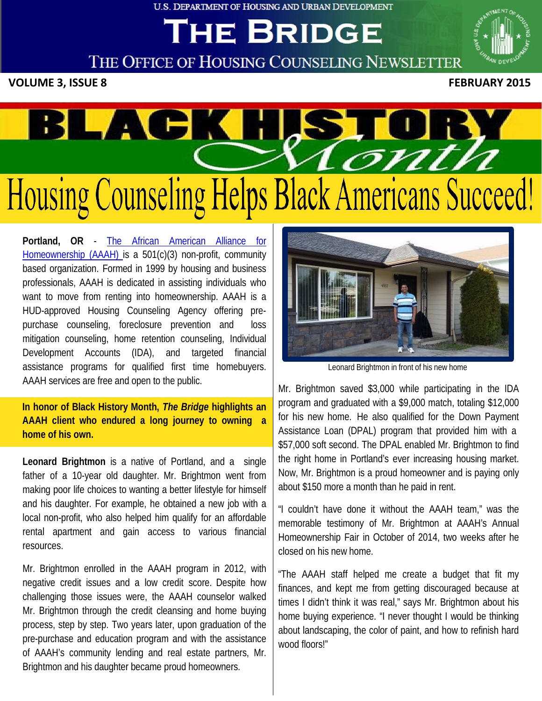**U.S. DEPARTMENT OF HOUSING AND URBAN DEVELOPMENT** 

# **THE BRIDGE**



THE OFFICE OF HOUSING COUNSELING NEWSLETTER

**VOLUME 3, ISSUE 8 FEBRUARY 2015**



**Portland, OR** - The African [American](http://www.aaah.org/) Alliance for [Homeownership](http://www.aaah.org/) (AAAH) is a 501(c)(3) non-profit, community based organization. Formed in 1999 by housing and business professionals, AAAH is dedicated in assisting individuals who want to move from renting into homeownership. AAAH is a HUD-approved Housing Counseling Agency offering prepurchase counseling, foreclosure prevention and loss mitigation counseling, home retention counseling, Individual Development Accounts (IDA), and targeted financial assistance programs for qualified first time homebuyers. AAAH services are free and open to the public.

**In honor of Black History Month,** *The Bridge* **highlights an AAAH client who endured a long journey to owning a home of his own.**

**Leonard Brightmon** is a native of Portland, and a single father of a 10-year old daughter. Mr. Brightmon went from making poor life choices to wanting a better lifestyle for himself and his daughter. For example, he obtained a new job with a local non-profit, who also helped him qualify for an affordable rental apartment and gain access to various financial resources.

Mr. Brightmon enrolled in the AAAH program in 2012, with negative credit issues and a low credit score. Despite how challenging those issues were, the AAAH counselor walked Mr. Brightmon through the credit cleansing and home buying process, step by step. Two years later, upon graduation of the pre-purchase and education program and with the assistance of AAAH's community lending and real estate partners, Mr. Brightmon and his daughter became proud homeowners.



Leonard Brightmon in front of his new home

Mr. Brightmon saved \$3,000 while participating in the IDA program and graduated with a \$9,000 match, totaling \$12,000 for his new home. He also qualified for the Down Payment Assistance Loan (DPAL) program that provided him with a \$57,000 soft second. The DPAL enabled Mr. Brightmon to find the right home in Portland's ever increasing housing market. Now, Mr. Brightmon is a proud homeowner and is paying only about \$150 more a month than he paid in rent.

"I couldn't have done it without the AAAH team," was the memorable testimony of Mr. Brightmon at AAAH's Annual Homeownership Fair in October of 2014, two weeks after he closed on his new home.

"The AAAH staff helped me create a budget that fit my finances, and kept me from getting discouraged because at times I didn't think it was real," says Mr. Brightmon about his home buying experience. "I never thought I would be thinking about landscaping, the color of paint, and how to refinish hard wood floors!"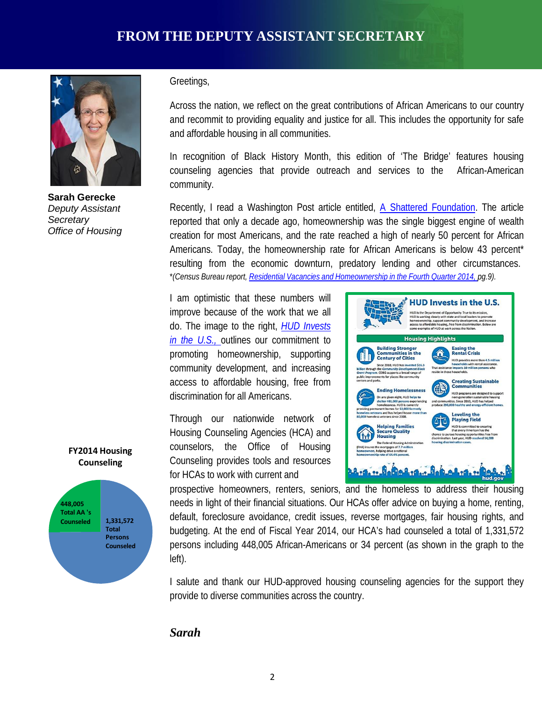

**Sarah Gerecke** *Deputy Assistant Secretary Office of Housing*

Greetings,

Across the nation, we reflect on the great contributions of African Americans to our country and recommit to providing equality and justice for all. This includes the opportunity for safe and affordable housing in all communities.

In recognition of Black History Month, this edition of 'The Bridge' features housing counseling agencies that provide outreach and services to the African-American community.

Recently, I read a Washington Post article entitled, [A Shattered](http://www.washingtonpost.com/sf/investigative/2015/01/24/the-american-dream-shatters-in-prince-georges-county/) Foundation. The article reported that only a decade ago, homeownership was the single biggest engine of wealth creation for most Americans, and the rate reached a high of nearly 50 percent for African Americans. Today, the homeownership rate for African Americans is below 43 percent\* resulting from the economic downturn, predatory lending and other circumstances. \**(Census Bureau report, Residential Vacancies and [Homeownership](http://www.census.gov/housing/hvs/files/currenthvspress.pdf) in the Fourth Quarter 2014, pg.9).*

I am optimistic that these numbers will improve because of the work that we all do. The image to the right, *HUD [Invests](http://portal.hud.gov/hudportal/documents/huddoc?id=Nat_508_Compliant.pdf) in the [U.S.,](http://portal.hud.gov/hudportal/documents/huddoc?id=Nat_508_Compliant.pdf)* outlines our commitment to promoting homeownership, supporting community development, and increasing access to affordable housing, free from discrimination for all Americans.

Through our nationwide network of Housing Counseling Agencies (HCA) and counselors, the Office of Housing Counseling provides tools and resources for HCAs to work with current and



prospective homeowners, renters, seniors, and the homeless to address their housing needs in light of their financial situations. Our HCAs offer advice on buying a home, renting, default, foreclosure avoidance, credit issues, reverse mortgages, fair housing rights, and budgeting. At the end of Fiscal Year 2014, our HCA's had counseled a total of 1,331,572 persons including 448,005 African-Americans or 34 percent (as shown in the graph to the left).

I salute and thank our HUD-approved housing counseling agencies for the support they provide to diverse communities across the country.

#### *Sarah*



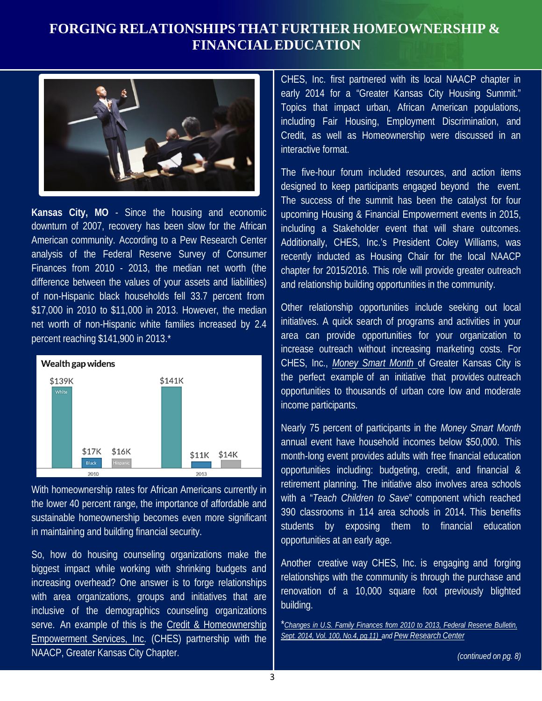## **FORGING RELATIONSHIPS THAT FURTHER HOMEOWNERSHIP & FINANCIAL EDUCATION**



**Kansas City, MO** - Since the housing and economic downturn of 2007, recovery has been slow for the African American community. According to a Pew Research Center analysis of the Federal Reserve Survey of Consumer Finances from 2010 - 2013, the median net worth (the difference between the values of your assets and liabilities) of non-Hispanic black households fell 33.7 percent from \$17,000 in 2010 to \$11,000 in 2013. However, the median net worth of non-Hispanic white families increased by 2.4 percent reaching \$141,900 in 2013.\*



With homeownership rates for African Americans currently in the lower 40 percent range, the importance of affordable and sustainable homeownership becomes even more significant in maintaining and building financial security.

So, how do housing counseling organizations make the biggest impact while working with shrinking budgets and increasing overhead? One answer is to forge relationships with area organizations, groups and initiatives that are inclusive of the demographics counseling organizations serve. An example of this is the [Credit & Homeownership](http://chesinc.org/) [Empowerment](http://chesinc.org/) Services, Inc. (CHES) partnership with the NAACP, Greater Kansas City Chapter.

CHES, Inc. first partnered with its local NAACP chapter in early 2014 for a "Greater Kansas City Housing Summit." Topics that impact urban, African American populations, including Fair Housing, Employment Discrimination, and Credit, as well as Homeownership were discussed in an interactive format.

The five-hour forum included resources, and action items designed to keep participants engaged beyond the event. The success of the summit has been the catalyst for four upcoming Housing & Financial Empowerment events in 2015, including a Stakeholder event that will share outcomes. Additionally, CHES, Inc.'s President Coley Williams, was recently inducted as Housing Chair for the local NAACP chapter for 2015/2016. This role will provide greater outreach and relationship building opportunities in the community.

Other relationship opportunities include seeking out local initiatives. A quick search of programs and activities in your area can provide opportunities for your organization to increase outreach without increasing marketing costs. For CHES, Inc., *[Money](http://www.moneysmartkc.org/) Smart Month* of Greater Kansas City is the perfect example of an initiative that provides outreach opportunities to thousands of urban core low and moderate income participants.

Nearly 75 percent of participants in the *Money Smart Month* annual event have household incomes below \$50,000. This month-long event provides adults with free financial education opportunities including: budgeting, credit, and financial & retirement planning. The initiative also involves area schools with a "*Teach Children to Save*" component which reached 390 classrooms in 114 area schools in 2014. This benefits students by exposing them to financial education opportunities at an early age.

Another creative way CHES, Inc. is engaging and forging relationships with the community is through the purchase and renovation of a 10,000 square foot previously blighted building.

<sup>\*</sup>*Changes in U.S. Family [Finances](http://www.federalreserve.gov/pubs/bulletin/2014/pdf/scf14.pdf) from 2010 to 2013, Federal Reserve Bulletin, Sept. 2014, Vol. 100, No.4, [pg.11\)](http://www.federalreserve.gov/pubs/bulletin/2014/pdf/scf14.pdf) and [Pew Research](http://www.pewresearch.org/fact-tank/2014/12/12/racial-wealth-gaps-great-recession/) Center*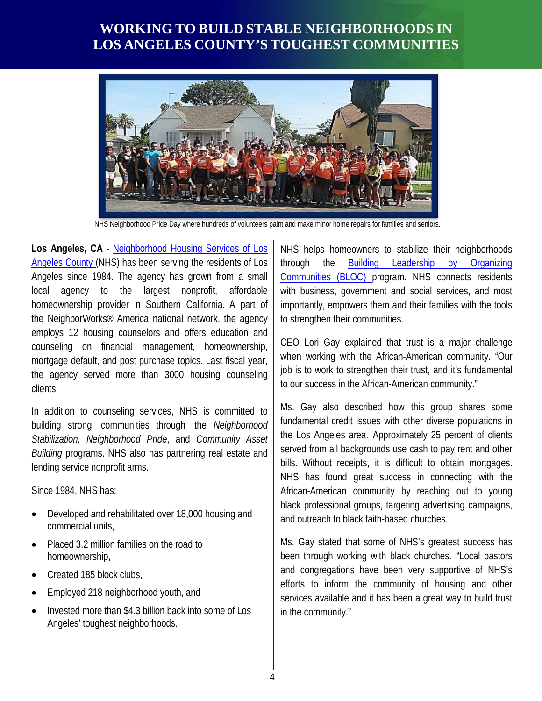## **WORKING TO BUILD STABLE NEIGHBORHOODS IN LOS ANGELES COUNTY'S TOUGHEST COMMUNITIES**



NHS Neighborhood Pride Day where hundreds of volunteers paint and make minor home repairs for families and seniors.

**Los Angeles, CA** - [Neighborhood](http://www.nhslacounty.org/) Housing Services of Los [Angeles](http://www.nhslacounty.org/) County (NHS) has been serving the residents of Los Angeles since 1984. The agency has grown from a small local agency to the largest nonprofit, affordable homeownership provider in Southern California. A part of the NeighborWorks® America national network, the agency employs 12 housing counselors and offers education and counseling on financial management, homeownership, mortgage default, and post purchase topics. Last fiscal year, the agency served more than 3000 housing counseling clients.

In addition to counseling services, NHS is committed to building strong communities through the *Neighborhood Stabilization, Neighborhood Pride*, and *Community Asset Building* programs. NHS also has partnering real estate and lending service nonprofit arms.

Since 1984, NHS has:

- Developed and rehabilitated over 18,000 housing and commercial units,
- Placed 3.2 million families on the road to homeownership,
- Created 185 block clubs,
- Employed 218 neighborhood youth, and
- Invested more than \$4.3 billion back into some of Los Angeles' toughest neighborhoods.

NHS helps homeowners to stabilize their neighborhoods through the Building Leadership by [Organizing](http://www.nhslacounty.org/programs-and-services/revitalization)  [Communities](http://www.nhslacounty.org/programs-and-services/revitalization) (BLOC) program. NHS connects residents with business, government and social services, and most importantly, empowers them and their families with the tools to strengthen their communities.

CEO Lori Gay explained that trust is a major challenge when working with the African-American community. "Our job is to work to strengthen their trust, and it's fundamental to our success in the African-American community."

Ms. Gay also described how this group shares some fundamental credit issues with other diverse populations in the Los Angeles area. Approximately 25 percent of clients served from all backgrounds use cash to pay rent and other bills. Without receipts, it is difficult to obtain mortgages. NHS has found great success in connecting with the African-American community by reaching out to young black professional groups, targeting advertising campaigns, and outreach to black faith-based churches.

Ms. Gay stated that some of NHS's greatest success has been through working with black churches. "Local pastors and congregations have been very supportive of NHS's efforts to inform the community of housing and other services available and it has been a great way to build trust in the community."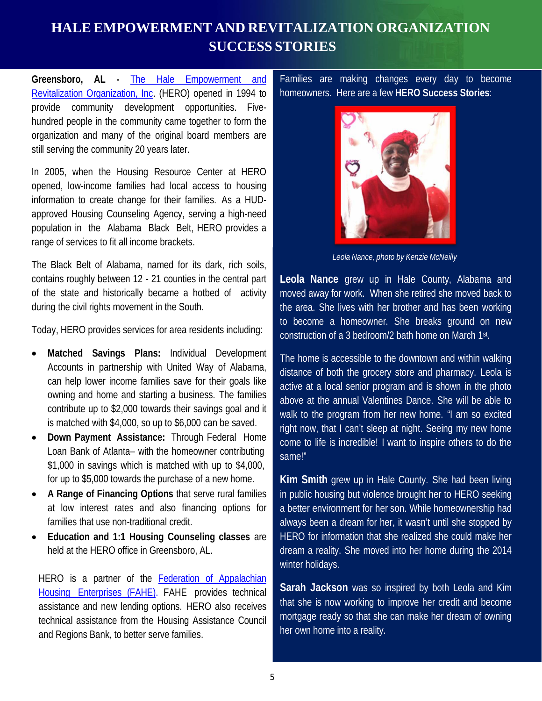# **HALE EMPOWERMENT AND REVITALIZATION ORGANIZATION SUCCESS STORIES**

**Greensboro, AL -** The Hale [Empowerment](http://www.herohousing.org/) and Revitalization [Organization,](http://www.herohousing.org/) Inc. (HERO) opened in 1994 to provide community development opportunities. Fivehundred people in the community came together to form the organization and many of the original board members are still serving the community 20 years later.

In 2005, when the Housing Resource Center at HERO opened, low-income families had local access to housing information to create change for their families. As a HUDapproved Housing Counseling Agency, serving a high-need population in the Alabama Black Belt, HERO provides a range of services to fit all income brackets.

The Black Belt of Alabama, named for its dark, rich soils, contains roughly between 12 - 21 counties in the central part of the state and historically became a hotbed of activity during the civil rights movement in the South.

Today, HERO provides services for area residents including:

- **Matched Savings Plans:** Individual Development Accounts in partnership with United Way of Alabama, can help lower income families save for their goals like owning and home and starting a business. The families contribute up to \$2,000 towards their savings goal and it is matched with \$4,000, so up to \$6,000 can be saved.
- **Down Payment Assistance:** Through Federal Home Loan Bank of Atlanta– with the homeowner contributing \$1,000 in savings which is matched with up to \$4,000, for up to \$5,000 towards the purchase of a new home.
- **A Range of Financing Options** that serve rural families at low interest rates and also financing options for families that use non-traditional credit.
- **Education and 1:1 Housing Counseling classes** are held at the HERO office in Greensboro, AL.

HERO is a partner of the **Federation of [Appalachian](http://www.fahe.org/)** Housing [Enterprises](http://www.fahe.org/) (FAHE). FAHE provides technical assistance and new lending options. HERO also receives technical assistance from the Housing Assistance Council and Regions Bank, to better serve families.

Families are making changes every day to become homeowners. Here are a few **HERO Success Stories**:



*Leola Nance, photo by Kenzie McNeilly*

**Leola Nance** grew up in Hale County, Alabama and moved away for work. When she retired she moved back to the area. She lives with her brother and has been working to become a homeowner. She breaks ground on new construction of a 3 bedroom/2 bath home on March 1st.

The home is accessible to the downtown and within walking distance of both the grocery store and pharmacy. Leola is active at a local senior program and is shown in the photo above at the annual Valentines Dance. She will be able to walk to the program from her new home. "I am so excited right now, that I can't sleep at night. Seeing my new home come to life is incredible! I want to inspire others to do the same!"

**Kim Smith** grew up in Hale County. She had been living in public housing but violence brought her to HERO seeking a better environment for her son. While homeownership had always been a dream for her, it wasn't until she stopped by HERO for information that she realized she could make her dream a reality. She moved into her home during the 2014 winter holidays.

**Sarah Jackson** was so inspired by both Leola and Kim that she is now working to improve her credit and become mortgage ready so that she can make her dream of owning her own home into a reality.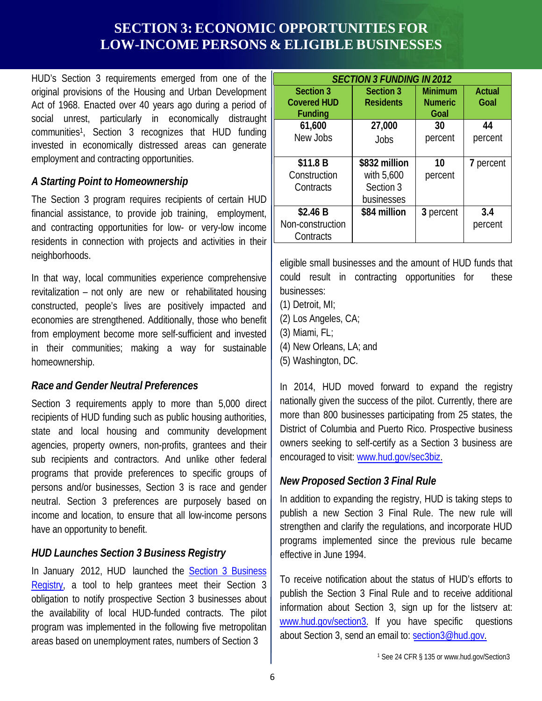## **SECTION 3: ECONOMIC OPPORTUNITIES FOR LOW-INCOME PERSONS & ELIGIBLE BUSINESSES**

HUD's Section 3 requirements emerged from one of the original provisions of the Housing and Urban Development Act of 1968. Enacted over 40 years ago during a period of social unrest, particularly in economically distraught communities1, Section 3 recognizes that HUD funding invested in economically distressed areas can generate employment and contracting opportunities.

#### *A Starting Point to Homeownership*

The Section 3 program requires recipients of certain HUD financial assistance, to provide job training, employment, and contracting opportunities for low- or very-low income residents in connection with projects and activities in their neighborhoods.

In that way, local communities experience comprehensive revitalization – not only are new or rehabilitated housing constructed, people's lives are positively impacted and economies are strengthened. Additionally, those who benefit from employment become more self-sufficient and invested in their communities; making a way for sustainable homeownership.

#### *Race and Gender Neutral Preferences*

Section 3 requirements apply to more than 5,000 direct recipients of HUD funding such as public housing authorities, state and local housing and community development agencies, property owners, non-profits, grantees and their sub recipients and contractors. And unlike other federal programs that provide preferences to specific groups of persons and/or businesses, Section 3 is race and gender neutral. Section 3 preferences are purposely based on income and location, to ensure that all low-income persons have an opportunity to benefit.

### *HUD Launches Section 3 Business Registry*

In January 2012, HUD launched the Section [3 Business](http://www.hud.gov/sec3biz) [Registry,](http://www.hud.gov/sec3biz) a tool to help grantees meet their Section 3 obligation to notify prospective Section 3 businesses about the availability of local HUD-funded contracts. The pilot program was implemented in the following five metropolitan areas based on unemployment rates, numbers of Section 3

| <b>SECTION 3 FUNDING IN 2012</b> |                  |                |               |
|----------------------------------|------------------|----------------|---------------|
| <b>Section 3</b>                 | <b>Section 3</b> | <b>Minimum</b> | <b>Actual</b> |
| <b>Covered HUD</b>               | <b>Residents</b> | <b>Numeric</b> | Goal          |
| <b>Funding</b>                   |                  | Goal           |               |
| 61,600                           | 27,000           | 30             | 44            |
| New Jobs                         | Jobs             | percent        | percent       |
|                                  |                  |                |               |
| \$11.8 B                         | \$832 million    | 10             | 7 percent     |
| Construction                     | with 5,600       | percent        |               |
| Contracts                        | Section 3        |                |               |
|                                  | businesses       |                |               |
| \$2.46 B                         | \$84 million     | 3 percent      | 3.4           |
| Non-construction                 |                  |                | percent       |
| Contracts                        |                  |                |               |

eligible small businesses and the amount of HUD funds that could result in contracting opportunities for these businesses:

- (1) Detroit, MI;
- (2) Los Angeles, CA;
- (3) Miami, FL;
- (4) New Orleans, LA; and
- (5) Washington, DC.

In 2014, HUD moved forward to expand the registry nationally given the success of the pilot. Currently, there are more than 800 businesses participating from 25 states, the District of Columbia and Puerto Rico. Prospective business owners seeking to self-certify as a Section 3 business are encouraged to visit: [www.hud.gov/sec3biz.](http://www.hud.gov/sec3biz)

### *New Proposed Section 3 Final Rule*

In addition to expanding the registry, HUD is taking steps to publish a new Section 3 Final Rule. The new rule will strengthen and clarify the regulations, and incorporate HUD programs implemented since the previous rule became effective in June 1994.

To receive notification about the status of HUD's efforts to publish the Section 3 Final Rule and to receive additional information about Section 3, sign up for the listserv at: [www.hud.gov/section3.](http://www.hud.gov/section3) If you have specific questions about Section 3, send an email to: [section3@hud.gov.](mailto:section3@hud.gov)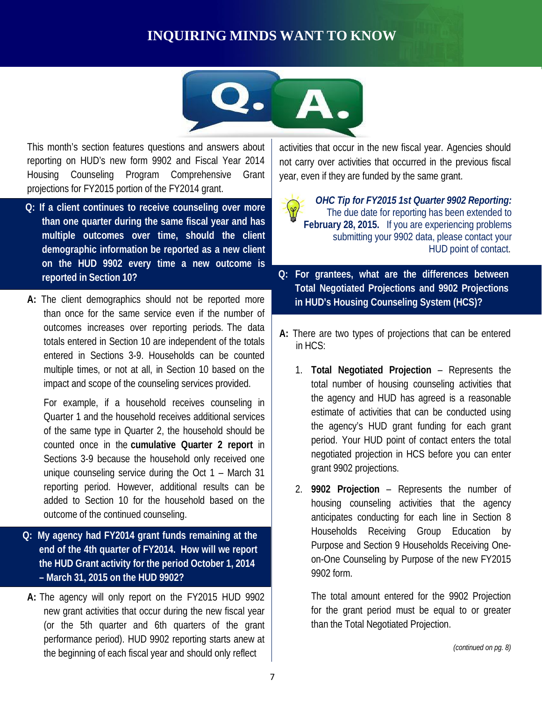# **INQUIRING MINDS WANT TO KNOW**



This month's section features questions and answers about reporting on HUD's new form 9902 and Fiscal Year 2014 Housing Counseling Program Comprehensive Grant projections for FY2015 portion of the FY2014 grant.

- **Q: If a client continues to receive counseling over more than one quarter during the same fiscal year and has multiple outcomes over time, should the client demographic information be reported as a new client on the HUD 9902 every time a new outcome is reported in Section 10?**
- **A:** The client demographics should not be reported more than once for the same service even if the number of outcomes increases over reporting periods. The data totals entered in Section 10 are independent of the totals entered in Sections 3-9. Households can be counted multiple times, or not at all, in Section 10 based on the impact and scope of the counseling services provided.

For example, if a household receives counseling in Quarter 1 and the household receives additional services of the same type in Quarter 2, the household should be counted once in the **cumulative Quarter 2 report** in Sections 3-9 because the household only received one unique counseling service during the Oct 1 – March 31 reporting period. However, additional results can be added to Section 10 for the household based on the outcome of the continued counseling.

- **Q: My agency had FY2014 grant funds remaining at the end of the 4th quarter of FY2014. How will we report the HUD Grant activity for the period October 1, 2014 – March 31, 2015 on the HUD 9902?**
- **A:** The agency will only report on the FY2015 HUD 9902 new grant activities that occur during the new fiscal year (or the 5th quarter and 6th quarters of the grant performance period). HUD 9902 reporting starts anew at the beginning of each fiscal year and should only reflect

activities that occur in the new fiscal year. Agencies should not carry over activities that occurred in the previous fiscal year, even if they are funded by the same grant.

*OHC Tip for FY2015 1st Quarter 9902 Reporting:* The due date for reporting has been extended to **February 28, 2015.** If you are experiencing problems submitting your 9902 data, please contact your HUD point of contact.

- **Q: For grantees, what are the differences between Total Negotiated Projections and 9902 Projections in HUD's Housing Counseling System (HCS)?**
- **A:** There are two types of projections that can be entered in HCS:
	- 1. **Total Negotiated Projection** Represents the total number of housing counseling activities that the agency and HUD has agreed is a reasonable estimate of activities that can be conducted using the agency's HUD grant funding for each grant period. Your HUD point of contact enters the total negotiated projection in HCS before you can enter grant 9902 projections.
	- 2. **9902 Projection** Represents the number of housing counseling activities that the agency anticipates conducting for each line in Section 8 Households Receiving Group Education by Purpose and Section 9 Households Receiving Oneon-One Counseling by Purpose of the new FY2015 9902 form.

The total amount entered for the 9902 Projection for the grant period must be equal to or greater than the Total Negotiated Projection.

*(continued on pg. 8)*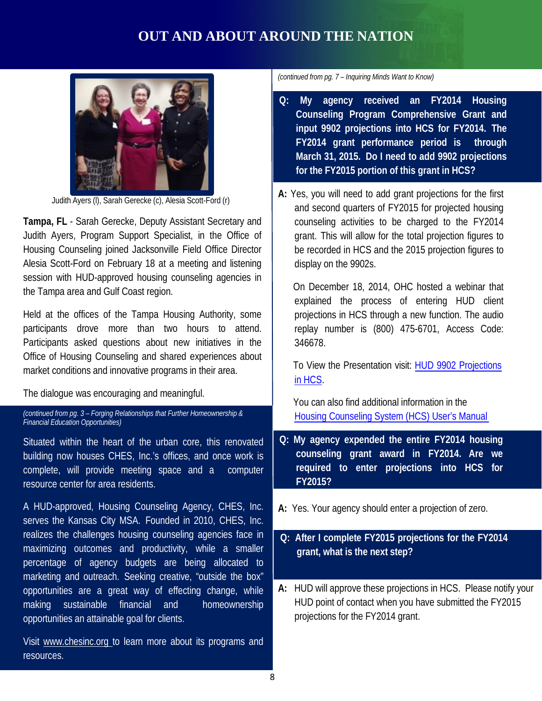# **OUT AND ABOUT AROUND THE NATION**



Judith Ayers (l), Sarah Gerecke (c), Alesia Scott-Ford (r)

**Tampa, FL** - Sarah Gerecke, Deputy Assistant Secretary and Judith Ayers, Program Support Specialist, in the Office of Housing Counseling joined Jacksonville Field Office Director Alesia Scott-Ford on February 18 at a meeting and listening session with HUD-approved housing counseling agencies in the Tampa area and Gulf Coast region.

Held at the offices of the Tampa Housing Authority, some participants drove more than two hours to attend. Participants asked questions about new initiatives in the Office of Housing Counseling and shared experiences about market conditions and innovative programs in their area.

The dialogue was encouraging and meaningful.

*(continued from pg. 3 – Forging Relationships that Further Homeownership & Financial Education Opportunities)*

Situated within the heart of the urban core, this renovated building now houses CHES, Inc.'s offices, and once work is complete, will provide meeting space and a computer resource center for area residents.

A HUD-approved, Housing Counseling Agency, CHES, Inc. serves the Kansas City MSA. Founded in 2010, CHES, Inc. realizes the challenges housing counseling agencies face in maximizing outcomes and productivity, while a smaller percentage of agency budgets are being allocated to marketing and outreach. Seeking creative, "outside the box" opportunities are a great way of effecting change, while making sustainable financial and homeownership opportunities an attainable goal for clients.

Visit [www.chesinc.org](http://www.chesinc.org/) to learn more about its programs and resources.

*(continued from pg. 7 – Inquiring Minds Want to Know)*

- **Q: My agency received an FY2014 Housing Counseling Program Comprehensive Grant and input 9902 projections into HCS for FY2014. The FY2014 grant performance period is through March 31, 2015. Do I need to add 9902 projections for the FY2015 portion of this grant in HCS?**
- **A:** Yes, you will need to add grant projections for the first and second quarters of FY2015 for projected housing counseling activities to be charged to the FY2014 grant. This will allow for the total projection figures to be recorded in HCS and the 2015 projection figures to display on the 9902s.

On December 18, 2014, OHC hosted a webinar that explained the process of entering HUD client projections in HCS through a new function. The audio replay number is (800) 475-6701, Access Code: 346678.

To [View the Presentation](http://portal.hud.gov/hudportal/documents/huddoc?id=OHC_9902PROJ121814.pdf) visit: HUD 9902 Projections in HCS.

You can also find additional information in the Housing Counseling [System \(HCS\)](http://portal.hud.gov/hudportal/documents/huddoc?id=ohc_hcsum2-1.pdf) User's Manual

- **Q: My agency expended the entire FY2014 housing counseling grant award in FY2014. Are we required to enter projections into HCS for FY2015?**
- **A:** Yes. Your agency should enter a projection of zero.

#### **Q: After I complete FY2015 projections for the FY2014 grant, what is the next step?**

**A:** HUD will approve these projections in HCS. Please notify your HUD point of contact when you have submitted the FY2015 projections for the FY2014 grant.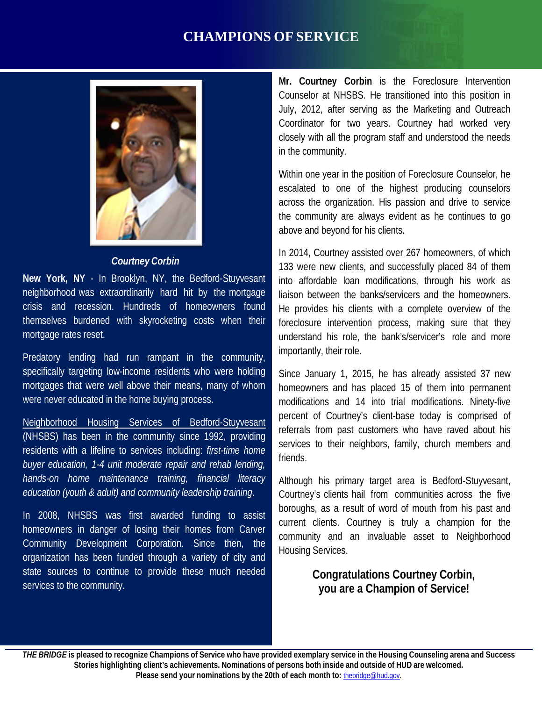## **CHAMPIONS OF SERVICE**



#### *Courtney Corbin*

**New York, NY** - In Brooklyn, NY, the Bedford-Stuyvesant neighborhood was extraordinarily hard hit by the mortgage crisis and recession. Hundreds of homeowners found themselves burdened with skyrocketing costs when their mortgage rates reset.

Predatory lending had run rampant in the community, specifically targeting low-income residents who were holding mortgages that were well above their means, many of whom were never educated in the home buying process.

Neighborhood [Housing Services of](http://www.nhsnyc.org/en/?option=com_content&view=article&id=86&Itemid=104) Bedford-Stuyvesant (NHSBS) has been in the community since 1992, providing residents with a lifeline to services including: *first-time home buyer education, 1-4 unit moderate repair and rehab lending, hands-on home maintenance training, financial literacy education (youth & adult) and community leadership training*.

In 2008, NHSBS was first awarded funding to assist homeowners in danger of losing their homes from Carver Community Development Corporation. Since then, the organization has been funded through a variety of city and state sources to continue to provide these much needed services to the community.

**Mr. Courtney Corbin** is the Foreclosure Intervention Counselor at NHSBS. He transitioned into this position in July, 2012, after serving as the Marketing and Outreach Coordinator for two years. Courtney had worked very closely with all the program staff and understood the needs in the community.

Within one year in the position of Foreclosure Counselor, he escalated to one of the highest producing counselors across the organization. His passion and drive to service the community are always evident as he continues to go above and beyond for his clients.

In 2014, Courtney assisted over 267 homeowners, of which 133 were new clients, and successfully placed 84 of them into affordable loan modifications, through his work as liaison between the banks/servicers and the homeowners. He provides his clients with a complete overview of the foreclosure intervention process, making sure that they understand his role, the bank's/servicer's role and more importantly, their role.

Since January 1, 2015, he has already assisted 37 new homeowners and has placed 15 of them into permanent modifications and 14 into trial modifications. Ninety-five percent of Courtney's client-base today is comprised of referrals from past customers who have raved about his services to their neighbors, family, church members and friends.

Although his primary target area is Bedford-Stuyvesant, Courtney's clients hail from communities across the five boroughs, as a result of word of mouth from his past and current clients. Courtney is truly a champion for the community and an invaluable asset to Neighborhood Housing Services.

#### **Congratulations Courtney Corbin, you are a Champion of Service!**

9 **Please send your nominations by the 20th of each month to:** [thebridge@hud.gov.](mailto:thebridge@hud.gov) THE BRIDGE is pleased to recognize Champions of Service who have provided exemplary service in the Housing Counseling arena and Success **Stories highlighting client's achievements. Nominations of persons both inside and outside of HUD are welcomed.**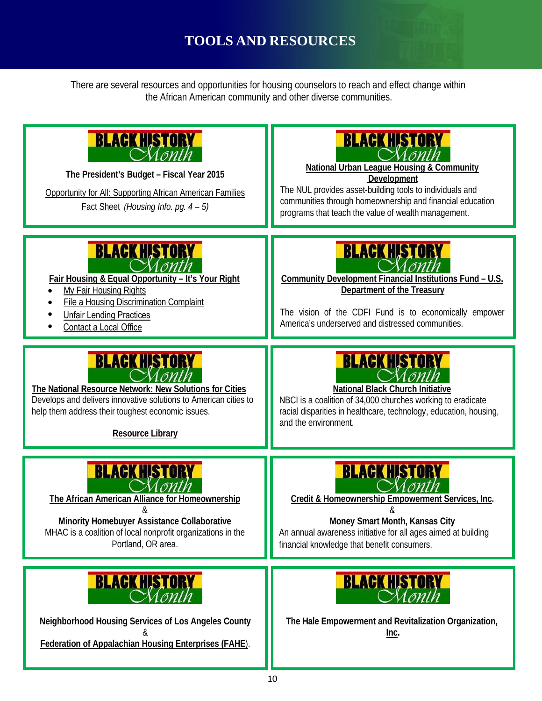# **TOOLS AND RESOURCES**

There are several resources and opportunities for housing counselors to reach and effect change within the African American community and other diverse communities.